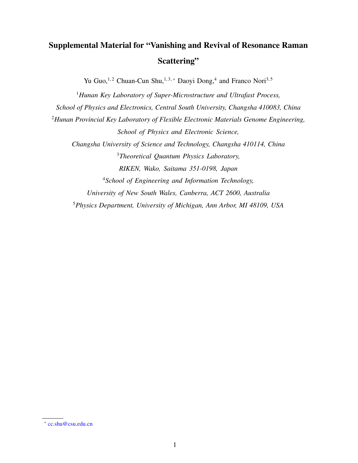## Supplemental Material for "Vanishing and Revival of Resonance Raman Scattering"

Yu Guo,<sup>1,2</sup> Chuan-Cun Shu,<sup>1,3,\*</sup> Daoyi Dong,<sup>4</sup> and Franco Nori<sup>3,5</sup>

<sup>1</sup>*Hunan Key Laboratory of Super-Microstructure and Ultrafast Process, School of Physics and Electronics, Central South University, Changsha 410083, China* <sup>2</sup>*Hunan Provincial Key Laboratory of Flexible Electronic Materials Genome Engineering, School of Physics and Electronic Science, Changsha University of Science and Technology, Changsha 410114, China* <sup>3</sup>*Theoretical Quantum Physics Laboratory, RIKEN, Wako, Saitama 351-0198, Japan* <sup>4</sup>*School of Engineering and Information Technology, University of New South Wales, Canberra, ACT 2600, Australia* <sup>5</sup>*Physics Department, University of Michigan, Ann Arbor, MI 48109, USA*

<sup>∗</sup> cc.shu@csu.edu.cn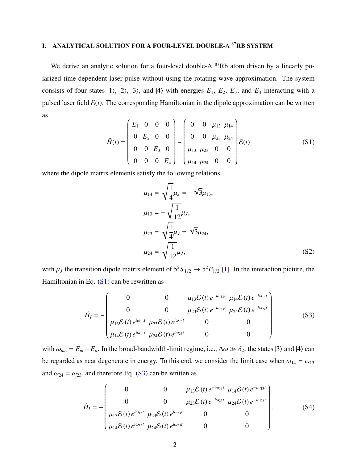## I. ANALYTICAL SOLUTION FOR A FOUR-LEVEL DOUBLE-Λ <sup>87</sup>RB SYSTEM

We derive an analytic solution for a four-level double- $\Lambda$  <sup>87</sup>Rb atom driven by a linearly polarized time-dependent laser pulse without using the rotating-wave approximation. The system consists of four states  $|1\rangle$ ,  $|2\rangle$ ,  $|3\rangle$ , and  $|4\rangle$  with energies  $E_1$ ,  $E_2$ ,  $E_3$ , and  $E_4$  interacting with a pulsed laser field  $\mathcal{E}(t)$ . The corresponding Hamiltonian in the dipole approximation can be written as  $\overline{1}$ 

$$
\hat{H}(t) = \begin{pmatrix} E_1 & 0 & 0 & 0 \\ 0 & E_2 & 0 & 0 \\ 0 & 0 & E_3 & 0 \\ 0 & 0 & 0 & E_4 \end{pmatrix} - \begin{pmatrix} 0 & 0 & \mu_{13} & \mu_{14} \\ 0 & 0 & \mu_{23} & \mu_{24} \\ \mu_{13} & \mu_{23} & 0 & 0 \\ \mu_{14} & \mu_{24} & 0 & 0 \end{pmatrix} \mathcal{E}(t)
$$
\n(S1)

where the dipole matrix elements satisfy the following relations

$$
\mu_{14} = \sqrt{\frac{1}{4}} \mu_J = -\sqrt{3} \mu_{13},
$$
  
\n
$$
\mu_{13} = -\sqrt{\frac{1}{12}} \mu_J,
$$
  
\n
$$
\mu_{23} = \sqrt{\frac{1}{4}} \mu_J = \sqrt{3} \mu_{24},
$$
  
\n
$$
\mu_{24} = \sqrt{\frac{1}{12}} \mu_J,
$$
\n(S2)

with  $\mu_J$  the transition dipole matrix element of  $5^2S_{1/2} \rightarrow 5^2P_{1/2}$  [1]. In the interaction picture, the Hamiltonian in Eq.  $(S1)$  can be rewritten as

$$
\hat{H}_{I} = -\begin{pmatrix}\n0 & 0 & \mu_{13} \mathcal{E}(t) e^{-i\omega_{13}t} & \mu_{14} \mathcal{E}(t) e^{-i\omega_{14}t} \\
0 & 0 & \mu_{23} \mathcal{E}(t) e^{-i\omega_{23}t} & \mu_{24} \mathcal{E}(t) e^{-i\omega_{24}t} \\
\mu_{13} \mathcal{E}(t) e^{i\omega_{13}t} & \mu_{23} \mathcal{E}(t) e^{i\omega_{23}t} & 0 & 0 \\
\mu_{14} \mathcal{E}(t) e^{i\omega_{14}t} & \mu_{24} \mathcal{E}(t) e^{i\omega_{24}t} & 0 & 0\n\end{pmatrix}
$$
\n(S3)

with  $\omega_{nm} = E_m - E_n$ . In the broad-bandwidth-limit regime, i.e.,  $\Delta \omega \gg \delta_2$ , the states  $|3\rangle$  and  $|4\rangle$  can be regarded as near degenerate in energy. To this end, we consider the limit case when  $\omega_{14} = \omega_{13}$ and  $\omega_{24} = \omega_{23}$ , and therefore Eq. (S3) can be written as

$$
\hat{H}_{I} = -\begin{pmatrix}\n0 & 0 & \mu_{13} \mathcal{E}(t) e^{-i\omega_{13}t} & \mu_{14} \mathcal{E}(t) e^{-i\omega_{13}t} \\
0 & 0 & \mu_{23} \mathcal{E}(t) e^{-i\omega_{23}t} & \mu_{24} \mathcal{E}(t) e^{-i\omega_{23}t} \\
\mu_{13} \mathcal{E}(t) e^{i\omega_{13}t} & \mu_{23} \mathcal{E}(t) e^{i\omega_{23}t} & 0 & 0 \\
\mu_{14} \mathcal{E}(t) e^{i\omega_{13}t} & \mu_{24} \mathcal{E}(t) e^{i\omega_{23}t} & 0 & 0\n\end{pmatrix}.
$$
\n(S4)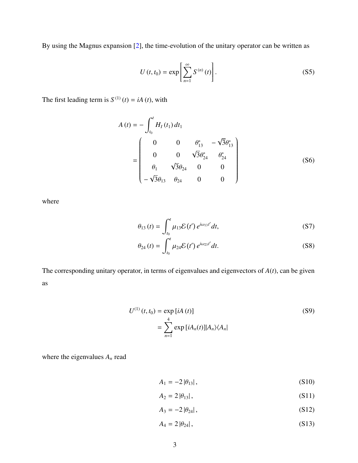By using the Magnus expansion [2], the time-evolution of the unitary operator can be written as

$$
U\left(t,t_{0}\right) = \exp\left[\sum_{n=1}^{\infty} S^{(n)}\left(t\right)\right].
$$
 (S5)

The first leading term is  $S^{(1)}(t) = iA(t)$ , with

$$
A(t) = -\int_{t_0}^{t} H_I(t_1) dt_1
$$
  
= 
$$
\begin{pmatrix} 0 & 0 & \theta_{13}^* & -\sqrt{3}\theta_{13}^* \\ 0 & 0 & \sqrt{3}\theta_{24}^* & \theta_{24}^* \\ \theta_1 & \sqrt{3}\theta_{24} & 0 & 0 \\ -\sqrt{3}\theta_{13} & \theta_{24} & 0 & 0 \end{pmatrix}
$$
 (S6)

where

$$
\theta_{13}(t) = \int_{t_0}^t \mu_{13} \mathcal{E}(t') e^{i\omega_{13}t'} dt,
$$
 (S7)

$$
\theta_{24}(t) = \int_{t_0}^t \mu_{24} \mathcal{E}(t') e^{i\omega_{23}t'} dt.
$$
 (S8)

The corresponding unitary operator, in terms of eigenvalues and eigenvectors of *A*(*t*), can be given as

$$
U^{(1)}(t, t_0) = \exp[iA(t)]
$$
\n
$$
= \sum_{n=1}^{4} \exp[iA_n(t)] |A_n\rangle\langle A_n|
$$
\n(S9)

where the eigenvalues *A<sup>n</sup>* read

$$
A_1 = -2|\theta_{13}|,\t\t(S10)
$$

$$
A_2 = 2 |\theta_{13}|, \tag{S11}
$$

$$
A_3 = -2|\theta_{24}|,\t\t(S12)
$$

$$
A_4 = 2 |\theta_{24}|, \tag{S13}
$$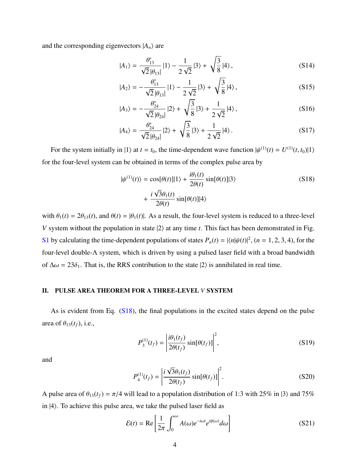and the corresponding eigenvectors  $|A_n\rangle$  are

$$
|A_1\rangle = \frac{\theta_{13}^*}{\sqrt{2}|\theta_{13}|} |1\rangle - \frac{1}{2\sqrt{2}} |3\rangle + \sqrt{\frac{3}{8}} |4\rangle, \qquad (S14)
$$

$$
|A_2\rangle = -\frac{\theta_{13}^*}{\sqrt{2}|\theta_{13}|} |1\rangle - \frac{1}{2\sqrt{2}} |3\rangle + \sqrt{\frac{3}{8}} |4\rangle, \qquad (S15)
$$

$$
|A_3\rangle = -\frac{\theta_{24}^*}{\sqrt{2}|\theta_{24}|} |2\rangle + \sqrt{\frac{3}{8}} |3\rangle + \frac{1}{2\sqrt{2}} |4\rangle, \qquad (S16)
$$

$$
|A_4\rangle = \frac{\theta_{24}^*}{\sqrt{2}|\theta_{24}|} |2\rangle + \sqrt{\frac{3}{8}} |3\rangle + \frac{1}{2\sqrt{2}} |4\rangle.
$$
 (S17)

For the system initially in  $|1\rangle$  at  $t = t_0$ , the time-dependent wave function  $|\psi^{(1)}(t) = U^{(1)}(t, t_0)|1\rangle$ for the four-level system can be obtained in terms of the complex pulse area by

$$
|\psi^{(1)}(t)\rangle = \cos[\theta(t)]|1\rangle + \frac{i\theta_1(t)}{2\theta(t)}\sin[\theta(t)]|3\rangle
$$
\n
$$
+ \frac{i\sqrt{3}\theta_1(t)}{2\theta(t)}\sin[\theta(t)]|4\rangle
$$
\n(S18)

with  $\theta_1(t) = 2\theta_{13}(t)$ , and  $\theta(t) = |\theta_1(t)|$ . As a result, the four-level system is reduced to a three-level *V* system without the population in state  $|2\rangle$  at any time *t*. This fact has been demonstrated in Fig. S1 by calculating the time-dependent populations of states  $P_n(t) = |\langle n | \psi(t) |^2$ ,  $(n = 1, 2, 3, 4)$ , for the four-level double-Λ system, which is driven by using a pulsed laser field with a broad bandwidth of  $\Delta \omega = 23\delta_1$ . That is, the RRS contribution to the state  $|2\rangle$  is annihilated in real time.

## II. PULSE AREA THEOREM FOR A THREE-LEVEL *V* SYSTEM

As is evident from Eq. (S18), the final populations in the excited states depend on the pulse area of  $\theta_{13}(t_f)$ , i.e.,

$$
P_3^{(1)}(t_f) = \left| \frac{i\theta_1(t_f)}{2\theta(t_f)} \sin[\theta(t_f)] \right|^2,
$$
 (S19)

and

$$
P_4^{(1)}(t_f) = \left| \frac{i\sqrt{3}\theta_1(t_f)}{2\theta(t_f)} \sin[\theta(t_f)] \right|^2.
$$
 (S20)

A pulse area of  $\theta_{13}(t_f) = \pi/4$  will lead to a population distribution of 1:3 with 25% in  $|3\rangle$  and 75% in |4⟩. To achieve this pulse area, we take the pulsed laser field as

$$
\mathcal{E}(t) = \text{Re}\left[\frac{1}{2\pi} \int_0^\infty A(\omega)e^{-i\omega t} e^{i\phi(\omega)} d\omega\right]
$$
(S21)